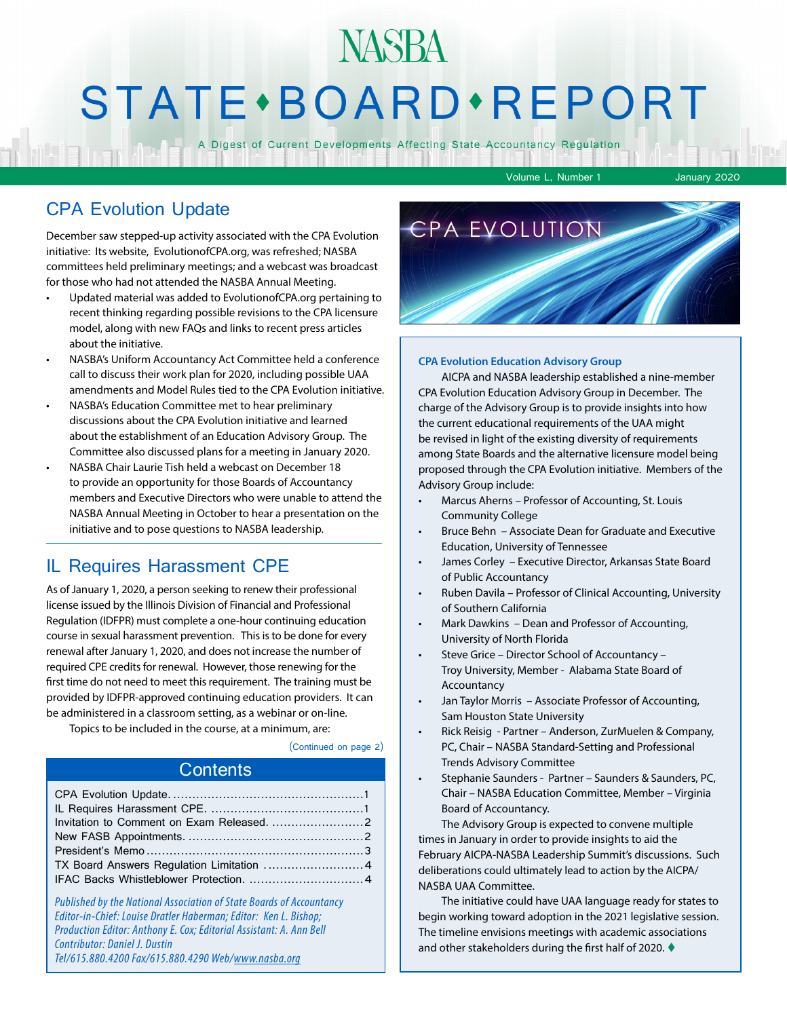## **NASBA STATE** · BOARD · REPORT

A Digest of Current Developments Affecting State Accountancy Regulation

Volume L, Number 1 January 2020

#### CPA Evolution Update

December saw stepped-up activity associated with the CPA Evolution initiative: Its website, EvolutionofCPA.org, was refreshed; NASBA committees held preliminary meetings; and a webcast was broadcast for those who had not attended the NASBA Annual Meeting.

- Updated material was added to EvolutionofCPA.org pertaining to recent thinking regarding possible revisions to the CPA licensure model, along with new FAQs and links to recent press articles about the initiative.
- NASBA's Uniform Accountancy Act Committee held a conference call to discuss their work plan for 2020, including possible UAA amendments and Model Rules tied to the CPA Evolution initiative.
- NASBA's Education Committee met to hear preliminary discussions about the CPA Evolution initiative and learned about the establishment of an Education Advisory Group. The Committee also discussed plans for a meeting in January 2020.
- NASBA Chair Laurie Tish held a webcast on December 18 to provide an opportunity for those Boards of Accountancy members and Executive Directors who were unable to attend the NASBA Annual Meeting in October to hear a presentation on the initiative and to pose questions to NASBA leadership.

#### IL Requires Harassment CPE

As of January 1, 2020, a person seeking to renew their professional license issued by the Illinois Division of Financial and Professional Regulation (IDFPR) must complete a one-hour continuing education course in sexual harassment prevention. This is to be done for every renewal after January 1, 2020, and does not increase the number of required CPE credits for renewal. However, those renewing for the first time do not need to meet this requirement. The training must be provided by IDFPR-approved continuing education providers. It can be administered in a classroom setting, as a webinar or on-line.

Topics to be included in the course, at a minimum, are:

(Continued on page 2)

#### **Contents**

*Published by the National Association of State Boards of Accountancy Editor-in-Chief: Louise Dratler Haberman; Editor: Ken L. Bishop; Production Editor: Anthony E. Cox; Editorial Assistant: A. Ann Bell Contributor: Daniel J. Dustin Tel/615.880.4200 Fax/615.880.4290 Web/www.nasba.org*



#### **CPA Evolution Education Advisory Group**

AICPA and NASBA leadership established a nine-member CPA Evolution Education Advisory Group in December. The charge of the Advisory Group is to provide insights into how the current educational requirements of the UAA might be revised in light of the existing diversity of requirements among State Boards and the alternative licensure model being proposed through the CPA Evolution initiative. Members of the Advisory Group include:

- Marcus Aherns Professor of Accounting, St. Louis Community College
- Bruce Behn Associate Dean for Graduate and Executive Education, University of Tennessee
- James Corley Executive Director, Arkansas State Board of Public Accountancy
- Ruben Davila Professor of Clinical Accounting, University of Southern California
- Mark Dawkins Dean and Professor of Accounting, University of North Florida
- Steve Grice Director School of Accountancy Troy University, Member - Alabama State Board of Accountancy
- Jan Taylor Morris Associate Professor of Accounting, Sam Houston State University
- Rick Reisig Partner Anderson, ZurMuelen & Company, PC, Chair – NASBA Standard-Setting and Professional Trends Advisory Committee
- Stephanie Saunders Partner Saunders & Saunders, PC, Chair – NASBA Education Committee, Member – Virginia Board of Accountancy.

The Advisory Group is expected to convene multiple times in January in order to provide insights to aid the February AICPA-NASBA Leadership Summit's discussions. Such deliberations could ultimately lead to action by the AICPA/ NASBA UAA Committee.

The initiative could have UAA language ready for states to begin working toward adoption in the 2021 legislative session. The timeline envisions meetings with academic associations and other stakeholders during the first half of 2020.  $\blacklozenge$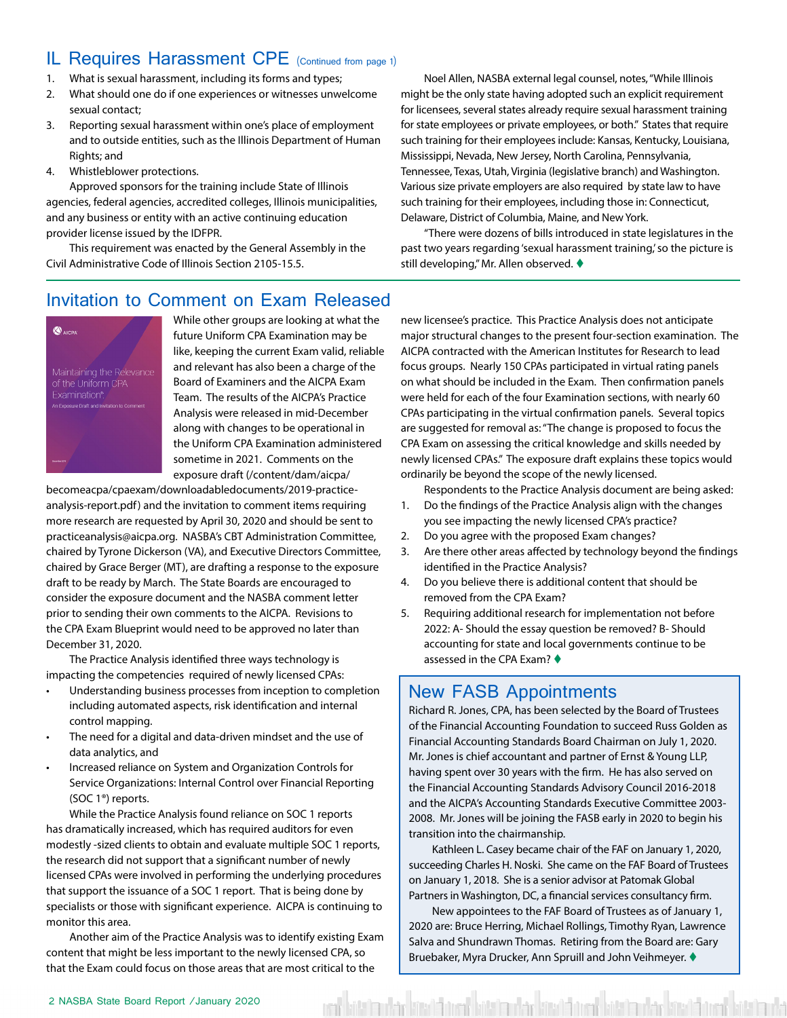#### <span id="page-1-0"></span>IL Requires Harassment CPE (Continued from page 1)

- 1. What is sexual harassment, including its forms and types;
- 2. What should one do if one experiences or witnesses unwelcome sexual contact;
- 3. Reporting sexual harassment within one's place of employment and to outside entities, such as the Illinois Department of Human Rights; and
- 4. Whistleblower protections.

Approved sponsors for the training include State of Illinois agencies, federal agencies, accredited colleges, Illinois municipalities, and any business or entity with an active continuing education provider license issued by the IDFPR.

This requirement was enacted by the General Assembly in the Civil Administrative Code of Illinois Section 2105-15.5.

Noel Allen, NASBA external legal counsel, notes, "While Illinois might be the only state having adopted such an explicit requirement for licensees, several states already require sexual harassment training for state employees or private employees, or both." States that require such training for their employees include: Kansas, Kentucky, Louisiana, Mississippi, Nevada, New Jersey, North Carolina, Pennsylvania, Tennessee, Texas, Utah, Virginia (legislative branch) and Washington. Various size private employers are also required by state law to have such training for their employees, including those in: Connecticut, Delaware, District of Columbia, Maine, and New York.

"There were dozens of bills introduced in state legislatures in the past two years regarding 'sexual harassment training,' so the picture is still developing," Mr. Allen observed.  $\blacklozenge$ 

#### Invitation to Comment on Exam Released



While other groups are looking at what the future Uniform CPA Examination may be like, keeping the current Exam valid, reliable and relevant has also been a charge of the Board of Examiners and the AICPA Exam Team. The results of the AICPA's Practice Analysis were released in mid-December along with changes to be operational in the Uniform CPA Examination administered sometime in 2021. Comments on the exposure draft (/content/dam/aicpa/

becomeacpa/cpaexam/downloadabledocuments/2019-practiceanalysis-report.pdf) and the invitation to comment items requiring more research are requested by April 30, 2020 and should be sent to practiceanalysis@aicpa.org. NASBA's CBT Administration Committee, chaired by Tyrone Dickerson (VA), and Executive Directors Committee, chaired by Grace Berger (MT), are drafting a response to the exposure draft to be ready by March. The State Boards are encouraged to consider the exposure document and the NASBA comment letter prior to sending their own comments to the AICPA. Revisions to the CPA Exam Blueprint would need to be approved no later than December 31, 2020.

The Practice Analysis identified three ways technology is impacting the competencies required of newly licensed CPAs:

- Understanding business processes from inception to completion including automated aspects, risk identification and internal control mapping.
- The need for a digital and data-driven mindset and the use of data analytics, and
- Increased reliance on System and Organization Controls for Service Organizations: Internal Control over Financial Reporting (SOC 1®) reports.

While the Practice Analysis found reliance on SOC 1 reports has dramatically increased, which has required auditors for even modestly -sized clients to obtain and evaluate multiple SOC 1 reports, the research did not support that a significant number of newly licensed CPAs were involved in performing the underlying procedures that support the issuance of a SOC 1 report. That is being done by specialists or those with significant experience. AICPA is continuing to monitor this area.

Another aim of the Practice Analysis was to identify existing Exam content that might be less important to the newly licensed CPA, so that the Exam could focus on those areas that are most critical to the

new licensee's practice. This Practice Analysis does not anticipate major structural changes to the present four-section examination. The AICPA contracted with the American Institutes for Research to lead focus groups. Nearly 150 CPAs participated in virtual rating panels on what should be included in the Exam. Then confirmation panels were held for each of the four Examination sections, with nearly 60 CPAs participating in the virtual confirmation panels. Several topics are suggested for removal as: "The change is proposed to focus the CPA Exam on assessing the critical knowledge and skills needed by newly licensed CPAs." The exposure draft explains these topics would ordinarily be beyond the scope of the newly licensed.

Respondents to the Practice Analysis document are being asked: 1. Do the findings of the Practice Analysis align with the changes

- you see impacting the newly licensed CPA's practice?
- 2. Do you agree with the proposed Exam changes?
- 3. Are there other areas affected by technology beyond the findings identified in the Practice Analysis?
- 4. Do you believe there is additional content that should be removed from the CPA Exam?
- 5. Requiring additional research for implementation not before 2022: A- Should the essay question be removed? B- Should accounting for state and local governments continue to be assessed in the CPA Exam?  $\blacklozenge$

#### New FASB Appointments

Richard R. Jones, CPA, has been selected by the Board of Trustees of the Financial Accounting Foundation to succeed Russ Golden as Financial Accounting Standards Board Chairman on July 1, 2020. Mr. Jones is chief accountant and partner of Ernst & Young LLP, having spent over 30 years with the firm. He has also served on the Financial Accounting Standards Advisory Council 2016-2018 and the AICPA's Accounting Standards Executive Committee 2003- 2008. Mr. Jones will be joining the FASB early in 2020 to begin his transition into the chairmanship.

Kathleen L. Casey became chair of the FAF on January 1, 2020, succeeding Charles H. Noski. She came on the FAF Board of Trustees on January 1, 2018. She is a senior advisor at Patomak Global Partners in Washington, DC, a financial services consultancy firm.

New appointees to the FAF Board of Trustees as of January 1, 2020 are: Bruce Herring, Michael Rollings, Timothy Ryan, Lawrence Salva and Shundrawn Thomas. Retiring from the Board are: Gary Bruebaker, Myra Drucker, Ann Spruill and John Veihmeyer.  $\blacklozenge$ 

kött handels kött öröm hatt handels kött biskom handels kött handels kött handels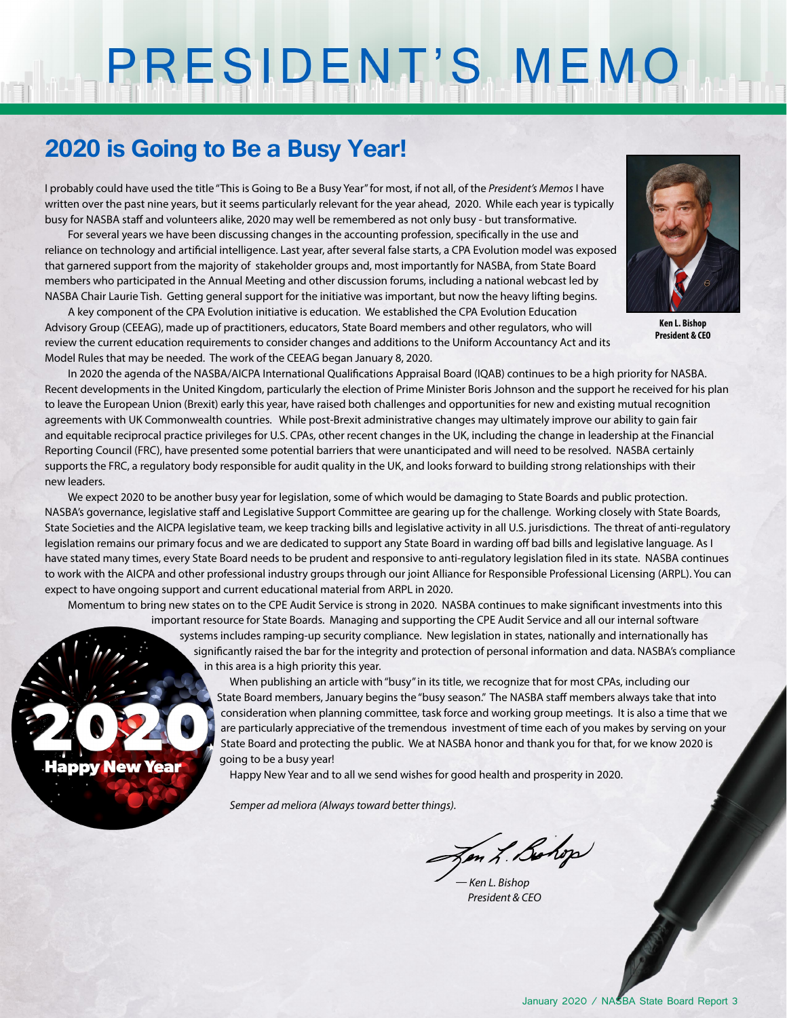# PRESIDENT'S MEMO

### **2020 is Going to Be a Busy Year!**

**Happy New Year** 

I probably could have used the title "This is Going to Be a Busy Year" for most, if not all, of the *President's Memos* I have written over the past nine years, but it seems particularly relevant for the year ahead, 2020. While each year is typically busy for NASBA staff and volunteers alike, 2020 may well be remembered as not only busy - but transformative.

For several years we have been discussing changes in the accounting profession, specifically in the use and reliance on technology and artificial intelligence. Last year, after several false starts, a CPA Evolution model was exposed that garnered support from the majority of stakeholder groups and, most importantly for NASBA, from State Board members who participated in the Annual Meeting and other discussion forums, including a national webcast led by NASBA Chair Laurie Tish. Getting general support for the initiative was important, but now the heavy lifting begins.

A key component of the CPA Evolution initiative is education. We established the CPA Evolution Education Advisory Group (CEEAG), made up of practitioners, educators, State Board members and other regulators, who will review the current education requirements to consider changes and additions to the Uniform Accountancy Act and its Model Rules that may be needed. The work of the CEEAG began January 8, 2020.



**Ken L. Bishop President & CEO**

In 2020 the agenda of the NASBA/AICPA International Qualifications Appraisal Board (IQAB) continues to be a high priority for NASBA. Recent developments in the United Kingdom, particularly the election of Prime Minister Boris Johnson and the support he received for his plan to leave the European Union (Brexit) early this year, have raised both challenges and opportunities for new and existing mutual recognition agreements with UK Commonwealth countries. While post-Brexit administrative changes may ultimately improve our ability to gain fair and equitable reciprocal practice privileges for U.S. CPAs, other recent changes in the UK, including the change in leadership at the Financial Reporting Council (FRC), have presented some potential barriers that were unanticipated and will need to be resolved. NASBA certainly supports the FRC, a regulatory body responsible for audit quality in the UK, and looks forward to building strong relationships with their new leaders.

We expect 2020 to be another busy year for legislation, some of which would be damaging to State Boards and public protection. NASBA's governance, legislative staff and Legislative Support Committee are gearing up for the challenge. Working closely with State Boards, State Societies and the AICPA legislative team, we keep tracking bills and legislative activity in all U.S. jurisdictions. The threat of anti-regulatory legislation remains our primary focus and we are dedicated to support any State Board in warding off bad bills and legislative language. As I have stated many times, every State Board needs to be prudent and responsive to anti-regulatory legislation filed in its state. NASBA continues to work with the AICPA and other professional industry groups through our joint Alliance for Responsible Professional Licensing (ARPL). You can expect to have ongoing support and current educational material from ARPL in 2020.

Momentum to bring new states on to the CPE Audit Service is strong in 2020. NASBA continues to make significant investments into this important resource for State Boards. Managing and supporting the CPE Audit Service and all our internal software

> systems includes ramping-up security compliance. New legislation in states, nationally and internationally has significantly raised the bar for the integrity and protection of personal information and data. NASBA's compliance in this area is a high priority this year.

When publishing an article with "busy" in its title, we recognize that for most CPAs, including our State Board members, January begins the "busy season." The NASBA staff members always take that into consideration when planning committee, task force and working group meetings. It is also a time that we are particularly appreciative of the tremendous investment of time each of you makes by serving on your State Board and protecting the public. We at NASBA honor and thank you for that, for we know 2020 is going to be a busy year!

Happy New Year and to all we send wishes for good health and prosperity in 2020.

*Semper ad meliora (Always toward better things).*

Jon L. Bohop

*— Ken L. Bishop President & CEO*